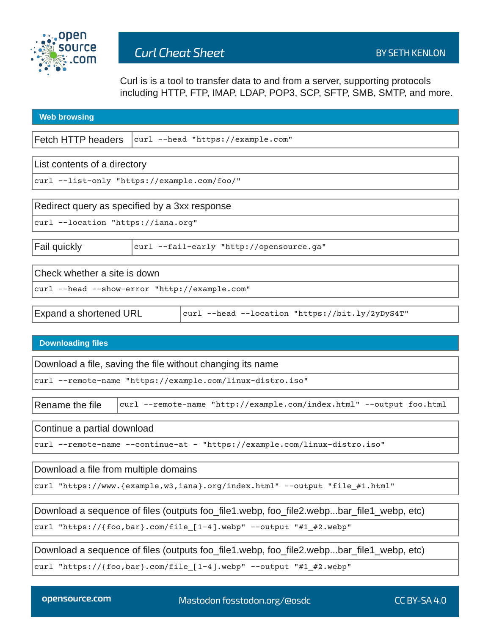

Curl is is a tool to transfer data to and from a server, supporting protocols including HTTP, FTP, IMAP, LDAP, POP3, SCP, SFTP, SMB, SMTP, and more.

| <b>Web browsing</b>                           |                                          |                                                 |
|-----------------------------------------------|------------------------------------------|-------------------------------------------------|
|                                               |                                          |                                                 |
| Fetch HTTP headers                            | curl --head "https://example.com"        |                                                 |
|                                               |                                          |                                                 |
| List contents of a directory                  |                                          |                                                 |
| curl --list-only "https://example.com/foo/"   |                                          |                                                 |
|                                               |                                          |                                                 |
| Redirect query as specified by a 3xx response |                                          |                                                 |
| curl --location "https://iana.org"            |                                          |                                                 |
|                                               |                                          |                                                 |
| Fail quickly                                  | curl --fail-early "http://opensource.ga" |                                                 |
|                                               |                                          |                                                 |
| Check whether a site is down                  |                                          |                                                 |
| curl --head --show-error "http://example.com" |                                          |                                                 |
|                                               |                                          |                                                 |
| Expand a shortened URL                        |                                          | curl --head --location "https://bit.ly/2yDyS4T" |
|                                               |                                          |                                                 |

## **Downloading files**

Download a file, saving the file without changing its name

curl --remote-name "https://example.com/linux-distro.iso"

Rename the file  $\vert$  curl --remote-name "http://example.com/index.html" --output foo.html

Continue a partial download

curl --remote-name --continue-at - "https://example.com/linux-distro.iso"

Download a file from multiple domains

curl "https://www.{example,w3,iana}.org/index.html" --output "file\_#1.html"

Download a sequence of files (outputs foo\_file1.webp, foo\_file2.webp...bar\_file1\_webp, etc)

curl "https://{foo,bar}.com/file\_[1-4].webp" --output "#1\_#2.webp"

Download a sequence of files (outputs foo file1.webp, foo file2.webp...bar\_file1\_webp, etc)

curl "https://{foo,bar}.com/file\_[1-4].webp" --output "#1\_#2.webp"